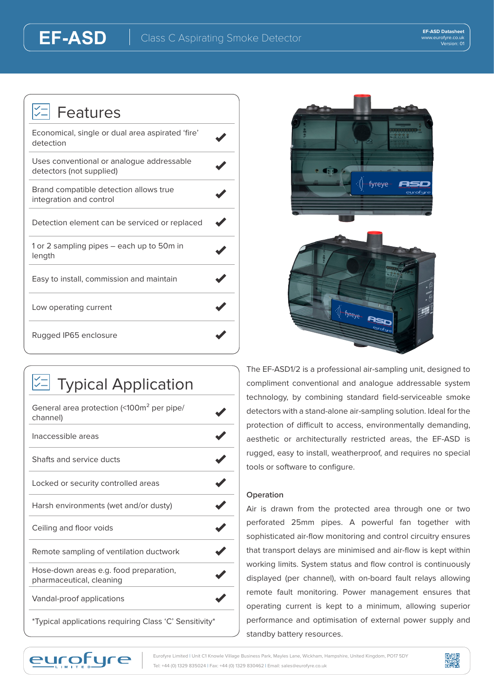| <b>V</b> = Features                                                   |  |
|-----------------------------------------------------------------------|--|
| Economical, single or dual area aspirated 'fire'<br>detection         |  |
| Uses conventional or analoque addressable<br>detectors (not supplied) |  |
| Brand compatible detection allows true<br>integration and control     |  |
| Detection element can be serviced or replaced                         |  |
| 1 or 2 sampling pipes — each up to 50m in<br>length                   |  |
| Easy to install, commission and maintain                              |  |
| Low operating current                                                 |  |
| Rugged IP65 enclosure                                                 |  |

**EF-ASD**

| $\mathbb{Z}$ Typical Application                                   |  |
|--------------------------------------------------------------------|--|
| General area protection (<100m <sup>2</sup> per pipe/<br>channel)  |  |
| Inaccessible areas                                                 |  |
| Shafts and service ducts                                           |  |
| Locked or security controlled areas                                |  |
| Harsh environments (wet and/or dusty)                              |  |
| Ceiling and floor voids                                            |  |
| Remote sampling of ventilation ductwork                            |  |
| Hose-down areas e.g. food preparation,<br>pharmaceutical, cleaning |  |
| Vandal-proof applications                                          |  |
| *Typical applications requiring Class 'C' Sensitivity*             |  |



The EF-ASD1/2 is a professional air-sampling unit, designed to compliment conventional and analogue addressable system technology, by combining standard field-serviceable smoke detectors with a stand-alone air-sampling solution. Ideal for the protection of difficult to access, environmentally demanding, aesthetic or architecturally restricted areas, the EF-ASD is rugged, easy to install, weatherproof, and requires no special tools or software to configure.

-fyreye...

Ast

## **Operation**

Air is drawn from the protected area through one or two perforated 25mm pipes. A powerful fan together with sophisticated air-flow monitoring and control circuitry ensures that transport delays are minimised and air-flow is kept within working limits. System status and flow control is continuously displayed (per channel), with on-board fault relays allowing remote fault monitoring. Power management ensures that operating current is kept to a minimum, allowing superior performance and optimisation of external power supply and standby battery resources.



Eurofyre Limited | Unit C1 Knowle Village Business Park, Mayles Lane, Wickham, Hampshire, United Kingdom, PO17 5DY Tel: +44 (0) 1329 835024 | Fax: +44 (0) 1329 830462 | Email: sales@eurofyre.co.uk

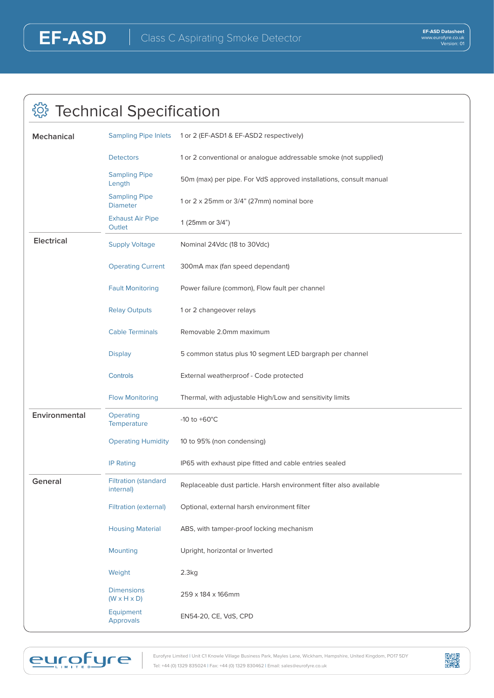eurofure

## **@ Technical Specification**

| <b>Mechanical</b>                          | <b>Sampling Pipe Inlets</b>                  | 1 or 2 (EF-ASD1 & EF-ASD2 respectively)                            |  |
|--------------------------------------------|----------------------------------------------|--------------------------------------------------------------------|--|
|                                            | <b>Detectors</b>                             | 1 or 2 conventional or analogue addressable smoke (not supplied)   |  |
|                                            | <b>Sampling Pipe</b><br>Length               | 50m (max) per pipe. For VdS approved installations, consult manual |  |
|                                            | <b>Sampling Pipe</b><br><b>Diameter</b>      | 1 or 2 x 25mm or 3/4" (27mm) nominal bore                          |  |
|                                            | <b>Exhaust Air Pipe</b><br>Outlet            | 1 (25mm or 3/4")                                                   |  |
| <b>Electrical</b><br><b>Supply Voltage</b> |                                              | Nominal 24Vdc (18 to 30Vdc)                                        |  |
|                                            | <b>Operating Current</b>                     | 300mA max (fan speed dependant)                                    |  |
|                                            | <b>Fault Monitoring</b>                      | Power failure (common), Flow fault per channel                     |  |
|                                            | <b>Relay Outputs</b>                         | 1 or 2 changeover relays                                           |  |
|                                            | <b>Cable Terminals</b>                       | Removable 2.0mm maximum                                            |  |
|                                            | <b>Display</b>                               | 5 common status plus 10 segment LED bargraph per channel           |  |
|                                            | Controls                                     | External weatherproof - Code protected                             |  |
|                                            | <b>Flow Monitoring</b>                       | Thermal, with adjustable High/Low and sensitivity limits           |  |
| Environmental                              | Operating<br>Temperature                     | -10 to $+60^{\circ}$ C                                             |  |
|                                            | <b>Operating Humidity</b>                    | 10 to 95% (non condensing)                                         |  |
|                                            | <b>IP Rating</b>                             | IP65 with exhaust pipe fitted and cable entries sealed             |  |
| General                                    | <b>Filtration (standard</b><br>internal)     | Replaceable dust particle. Harsh environment filter also available |  |
|                                            | <b>Filtration (external)</b>                 | Optional, external harsh environment filter                        |  |
|                                            | <b>Housing Material</b>                      | ABS, with tamper-proof locking mechanism                           |  |
|                                            | <b>Mounting</b>                              | Upright, horizontal or Inverted                                    |  |
|                                            | Weight                                       | 2.3kg                                                              |  |
|                                            | <b>Dimensions</b><br>$(W \times H \times D)$ | 259 x 184 x 166mm                                                  |  |
|                                            | Equipment<br><b>Approvals</b>                | EN54-20, CE, VdS, CPD                                              |  |
|                                            |                                              |                                                                    |  |